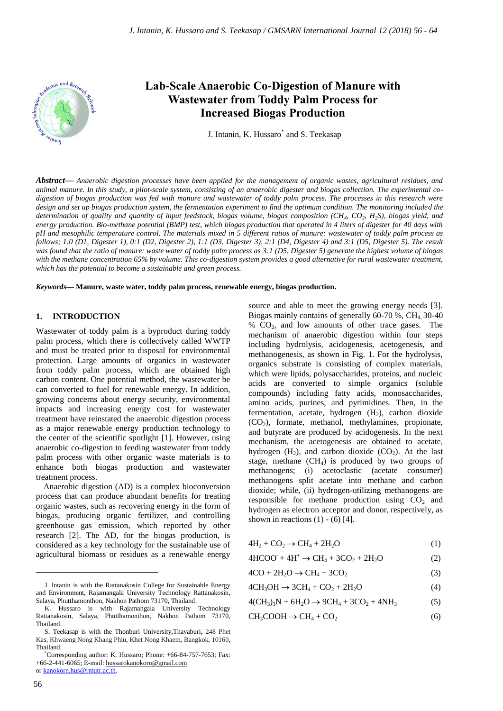

# **Lab-Scale Anaerobic Co-Digestion of Manure with Wastewater from Toddy Palm Process for Increased Biogas Production**

J. Intanin, K. Hussaro\* and S. Teekasap

*Abstract***—** *Anaerobic digestion processes have been applied for the management of organic wastes, agricultural residues, and animal manure. In this study, a pilot-scale system, consisting of an anaerobic digester and biogas collection. The experimental codigestion of biogas production was fed with manure and wastewater of toddy palm process. The processes in this research were design and set up biogas production system, the fermentation experiment to find the optimum condition. The monitoring included the determination of quality and quantity of input feedstock, biogas volume, biogas composition (CH<sup>4</sup> , CO<sup>2</sup> , H2S), biogas yield, and energy production. Bio-methane potential (BMP) test, which biogas production that operated in 4 liters of digester for 40 days with pH and mesophilic temperature control. The materials mixed in 5 different ratios of manure: wastewater of toddy palm process as follows; 1:0 (D1, Digester 1), 0:1 (D2, Digester 2), 1:1 (D3, Digester 3), 2:1 (D4, Digester 4) and 3:1 (D5, Digester 5). The result was found that the ratio of manure: waste water of toddy palm process as 3:1 (D5, Digester 5) generate the highest volume of biogas with the methane concentration 65% by volume. This co-digestion system provides a good alternative for rural wastewater treatment, which has the potential to become a sustainable and green process.*

*Keywords***— Manure, waste water, toddy palm process, renewable energy, biogas production.**

#### **1. INTRODUCTION**

Wastewater of toddy palm is a byproduct during toddy palm process, which there is collectively called WWTP and must be treated prior to disposal for environmental protection. Large amounts of organics in wastewater from toddy palm process, which are obtained high carbon content. One potential method, the wastewater be can converted to fuel for renewable energy. In addition, growing concerns about energy security, environmental impacts and increasing energy cost for wastewater treatment have reinstated the anaerobic digestion process as a major renewable energy production technology to the center of the scientific spotlight [1]. However, using anaerobic co-digestion to feeding wastewater from toddy palm process with other organic waste materials is to enhance both biogas production and wastewater treatment process.

Anaerobic digestion (AD) is a complex bioconversion process that can produce abundant benefits for treating organic wastes, such as recovering energy in the form of biogas, producing organic fertilizer, and controlling greenhouse gas emission, which reported by other research [2]. The AD, for the biogas production, is considered as a key technology for the sustainable use of agricultural biomass or residues as a renewable energy

source and able to meet the growing energy needs [3]. Biogas mainly contains of generally  $60-70$  %, CH<sub>4</sub>, 30-40 % CO2, and low amounts of other trace gases. The mechanism of anaerobic digestion within four steps including hydrolysis, acidogenesis, acetogenesis, and methanogenesis, as shown in Fig. 1. For the hydrolysis, organics substrate is consisting of complex materials, which were lipids, polysaccharides, proteins, and nucleic acids are converted to simple organics (soluble compounds) including fatty acids, monosaccharides, amino acids, purines, and pyrimidines. Then, in the fermentation, acetate, hydrogen  $(H<sub>2</sub>)$ , carbon dioxide  $(CO<sub>2</sub>)$ , formate, methanol, methylamines, propionate, and butyrate are produced by acidogenesis. In the next mechanism, the acetogenesis are obtained to acetate, hydrogen  $(H_2)$ , and carbon dioxide  $(CO_2)$ . At the last stage, methane  $(CH<sub>4</sub>)$  is produced by two groups of methanogens; (i) acetoclastic (acetate consumer) methanogens split acetate into methane and carbon dioxide; while, (ii) hydrogen-utilizing methanogens are responsible for methane production using  $CO<sub>2</sub>$  and hydrogen as electron acceptor and donor, respectively, as shown in reactions  $(1) - (6)$  [4].

$$
4H_2 + CO_2 \rightarrow CH_4 + 2H_2O \tag{1}
$$

 $4HCOO + 4H^+ \rightarrow CH_4 + 3CO_2 + 2H_2O$  (2)

$$
4CO + 2H_2O \rightarrow CH_4 + 3CO_2 \tag{3}
$$

$$
4CH3OH \rightarrow 3CH4 + CO2 + 2H2O
$$
 (4)

 $4(CH_3)_3N + 6H_2O \rightarrow 9CH_4 + 3CO_2 + 4NH_3$  (5)

$$
CH_3COOH \to CH_4 + CO_2 \tag{6}
$$

 $\overline{a}$ 

J. Intanin is with the Rattanakosin College for Sustainable Energy and Environment, Rajamangala University Technology Rattanakosin, Salaya, Phutthamonthon, Nakhon Pathom 73170, Thailand.

K. Hussaro is with Rajamangala University Technology Rattanakosin, Salaya, Phutthamonthon, Nakhon Pathom 73170, Thailand.

S. Teekasap is with the Thonburi University,Thayaburi, 248 Phet Kas, Khwaeng Nong Khang Phlu, Khet Nong Khaem, Bangkok, 10160, Thailand.

<sup>\*</sup>Corresponding author: K. Hussaro; Phone: +66-84-757-7653; Fax: +66-2-441-6065; E-mail[: hussarokanokorn@gmail.com](mailto:hussarokanokorn@gmail.com) o[r kanokorn.hus@rmutr.ac.th.](mailto:kanokorn.hus@rmutr.ac.th)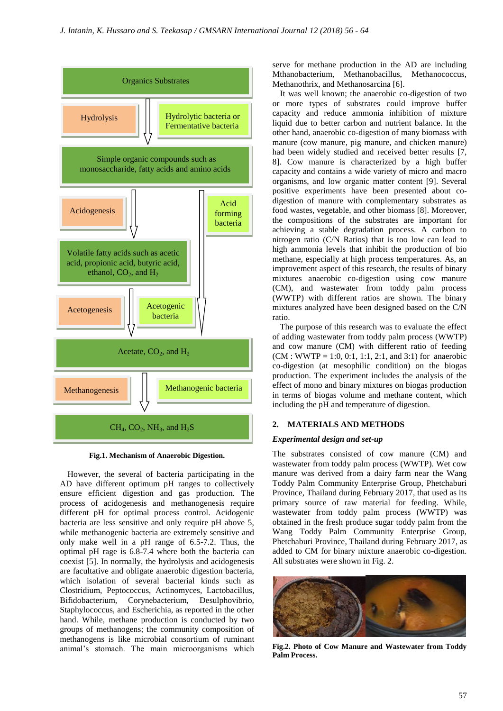

**Fig.1. Mechanism of Anaerobic Digestion.**

However, the several of bacteria participating in the AD have different optimum pH ranges to collectively ensure efficient digestion and gas production. The process of acidogenesis and methanogenesis require different pH for optimal process control. Acidogenic bacteria are less sensitive and only require pH above 5, while methanogenic bacteria are extremely sensitive and only make well in a pH range of 6.5-7.2. Thus, the optimal pH rage is 6.8-7.4 where both the bacteria can coexist [5]. In normally, the hydrolysis and acidogenesis are facultative and obligate anaerobic digestion bacteria, which isolation of several bacterial kinds such as Clostridium, Peptococcus, Actinomyces, Lactobacillus, Bifidobacterium, Corynebacterium, Desulphovibrio, Staphylococcus, and Escherichia, as reported in the other hand. While, methane production is conducted by two groups of methanogens; the community composition of methanogens is like microbial consortium of ruminant animal's stomach. The main microorganisms which

serve for methane production in the AD are including Mthanobacterium, Methanobacillus, Methanococcus, Methanothrix, and Methanosarcina [6].

It was well known; the anaerobic co-digestion of two or more types of substrates could improve buffer capacity and reduce ammonia inhibition of mixture liquid due to better carbon and nutrient balance. In the other hand, anaerobic co-digestion of many biomass with manure (cow manure, pig manure, and chicken manure) had been widely studied and received better results [7, 8]. Cow manure is characterized by a high buffer capacity and contains a wide variety of micro and macro organisms, and low organic matter content [9]. Several positive experiments have been presented about codigestion of manure with complementary substrates as food wastes, vegetable, and other biomass [8]. Moreover, the compositions of the substrates are important for achieving a stable degradation process. A carbon to nitrogen ratio (C/N Ratios) that is too low can lead to high ammonia levels that inhibit the production of bio methane, especially at high process temperatures. As, an improvement aspect of this research, the results of binary mixtures anaerobic co-digestion using cow manure (CM), and wastewater from toddy palm process (WWTP) with different ratios are shown. The binary mixtures analyzed have been designed based on the C/N ratio.

The purpose of this research was to evaluate the effect of adding wastewater from toddy palm process (WWTP) and cow manure (CM) with different ratio of feeding  $(CM : WWTP = 1:0, 0:1, 1:1, 2:1, and 3:1)$  for anaerobic co-digestion (at mesophilic condition) on the biogas production. The experiment includes the analysis of the effect of mono and binary mixtures on biogas production in terms of biogas volume and methane content, which including the pH and temperature of digestion.

## **2. MATERIALS AND METHODS**

#### *Experimental design and set-up*

The substrates consisted of cow manure (CM) and wastewater from toddy palm process (WWTP). Wet cow manure was derived from a dairy farm near the Wang Toddy Palm Community Enterprise Group, Phetchaburi Province, Thailand during February 2017, that used as its primary source of raw material for feeding. While, wastewater from toddy palm process (WWTP) was obtained in the fresh produce sugar toddy palm from the Wang Toddy Palm Community Enterprise Group, Phetchaburi Province, Thailand during February 2017, as added to CM for binary mixture anaerobic co-digestion. All substrates were shown in Fig. 2.



**Fig.2. Photo of Cow Manure and Wastewater from Toddy Palm Process.**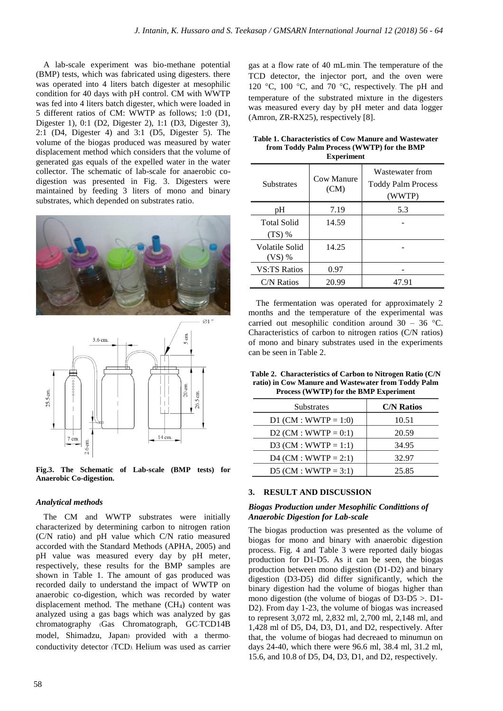A lab-scale experiment was bio-methane potential (BMP) tests, which was fabricated using digesters. there was operated into 4 liters batch digester at mesophilic condition for 40 days with pH control. CM with WWTP was fed into 4 liters batch digester, which were loaded in 5 different ratios of CM: WWTP as follows; 1:0 (D1, Digester 1), 0:1 (D2, Digester 2), 1:1 (D3, Digester 3), 2:1 (D4, Digester 4) and 3:1 (D5, Digester 5). The volume of the biogas produced was measured by water displacement method which considers that the volume of generated gas equals of the expelled water in the water collector. The schematic of lab-scale for anaerobic codigestion was presented in Fig. 3. Digesters were maintained by feeding 3 liters of mono and binary substrates, which depended on substrates ratio.





**Fig.3. The Schematic of Lab-scale (BMP tests) for Anaerobic Co-digestion.**

#### *Analytical methods*

The CM and WWTP substrates were initially characterized by determining carbon to nitrogen ration (C/N ratio) and pH value which C/N ratio measured accorded with the Standard Methods (APHA, 2005) and pH value was measured every day by pH meter, respectively, these results for the BMP samples are shown in Table 1. The amount of gas produced was recorded daily to understand the impact of WWTP on anaerobic co-digestion, which was recorded by water displacement method. The methane  $(CH<sub>4</sub>)$  content was analyzed using a gas bags which was analyzed by gas chromatography (Gas Chromatograph, GC-TCD14B model, Shimadzu, Japan) provided with a thermoconductivity detector (TCD). Helium was used as carrier gas at a flow rate of 40 mL/min. The temperature of the TCD detector, the injector port, and the oven were 120 °C, 100 °C, and 70 °C, respectively. The pH and temperature of the substrated mixture in the digesters was measured every day by pH meter and data logger (Amron, ZR-RX25), respectively [8].

| Table 1. Characteristics of Cow Manure and Wastewater |
|-------------------------------------------------------|
| from Toddy Palm Process (WWTP) for the BMP            |
| <b>Experiment</b>                                     |

| <b>Substrates</b>          | Cow Manure<br>(CM) | Wastewater from<br><b>Toddy Palm Process</b><br>(WWTP) |
|----------------------------|--------------------|--------------------------------------------------------|
| pН                         | 7.19               | 5.3                                                    |
| Total Solid<br>$(TS)$ %    | 14.59              |                                                        |
| Volatile Solid<br>$(VS)$ % | 14.25              |                                                        |
| <b>VS:TS Ratios</b>        | 0.97               |                                                        |
| C/N Ratios                 | 20.99              | 47.91                                                  |

The fermentation was operated for approximately 2 months and the temperature of the experimental was carried out mesophilic condition around  $30 - 36$  °C. Characteristics of carbon to nitrogen ratios (C/N ratios) of mono and binary substrates used in the experiments can be seen in Table 2.

| Table 2. Characteristics of Carbon to Nitrogen Ratio (C/N) |
|------------------------------------------------------------|
| ratio) in Cow Manure and Wastewater from Toddy Palm        |
| Process (WWTP) for the BMP Experiment                      |

| Substrates              | <b>C/N Ratios</b> |
|-------------------------|-------------------|
| $D1$ (CM : WWTP = 1:0)  | 10.51             |
| D2 (CM : WWTP = $0:1$ ) | 20.59             |
| D3 (CM : WWTP = 1:1)    | 34.95             |
| $D4$ (CM : WWTP = 2:1)  | 32.97             |
| $D5$ (CM : WWTP = 3:1)  | 25.85             |

#### **3. RESULT AND DISCUSSION**

#### *Biogas Production under Mesophilic Condittions of Anaerobic Digestion for Lab-scale*

The biogas production was presented as the volume of biogas for mono and binary with anaerobic digestion process. Fig. 4 and Table 3 were reported daily biogas production for D1-D5. As it can be seen, the biogas production between mono digestion (D1-D2) and binary digestion (D3-D5) did differ significantly, which the binary digestion had the volume of biogas higher than mono digestion (the volume of biogas of D3-D5 >. D1- D2). From day 1-23, the volume of biogas was increased to represent 3,072 ml, 2,832 ml, 2,700 ml, 2,148 ml, and 1,428 ml of D5, D4, D3, D1, and D2, respectively. After that, the volume of biogas had decreaed to minumun on days 24-40, which there were 96.6 ml, 38.4 ml, 31.2 ml, 15.6, and 10.8 of D5, D4, D3, D1, and D2, respectively.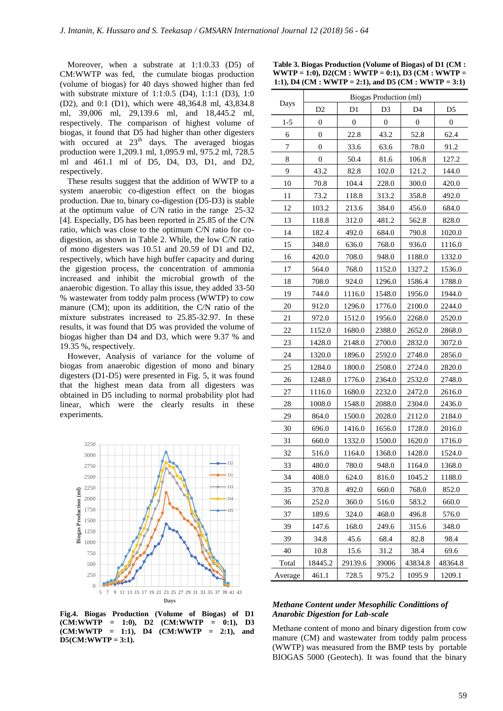Moreover, when a substrate at 1:1:0.33 (D5) of CM:WWTP was fed, the cumulate biogas production (volume of biogas) for 40 days showed higher than fed with substrate mixture of 1:1:0.5 (D4), 1:1:1 (D3), 1:0 (D2), and 0:1 (D1), which were 48,364.8 ml, 43,834.8 ml, 39,006 ml, 29,139.6 ml, and 18,445.2 ml, respectively. The comparison of highest volume of biogas, it found that D5 had higher than other digesters with occured at  $23<sup>th</sup>$  days. The averaged biogas production were 1,209.1 ml, 1,095.9 ml, 975.2 ml, 728.5 ml and 461.1 ml of D5, D4, D3, D1, and D2, respectively.

These results suggest that the addition of WWTP to a system anaerobic co-digestion effect on the biogas production. Due to, binary co-digestion (D5-D3) is stable at the optimum value of C/N ratio in the range 25-32 [4]. Especially, D5 has been reported in 25.85 of the C/N ratio, which was close to the optimum C/N ratio for codigestion, as shown in Table 2. While, the low C/N ratio of mono digesters was 10.51 and 20.59 of D1 and D2, respectively, which have high buffer capacity and during the gigestion process, the concentration of ammonia increased and inhibit the microbial growth of the anaerobic digestion. To allay this issue, they added 33-50 % wastewater from toddy palm process (WWTP) to cow manure (CM); upon its additition, the C/N ratio of the mixture substrates increased to 25.85-32.97. In these results, it was found that D5 was provided the volume of biogas higher than D4 and D3, which were 9.37 % and 19.35 %, respectively.

However, Analysis of variance for the volume of biogas from anaerobic digestion of mono and binary digesters (D1-D5) were presented in Fig. 5, it was found that the highest mean data from all digesters was obtained in D5 including to normal probability plot had linear, which were the clearly results in these experiments.



**Fig.4. Biogas Production (Volume of Biogas) of D1 (CM:WWTP = 1:0), D2 (CM:WWTP = 0:1), D3 (CM:WWTP = 1:1), D4 (CM:WWTP = 2:1), and D5(CM:WWTP = 3:1).**

**Table 3. Biogas Production (Volume of Biogas) of D1 (CM : WWTP = 1:0), D2(CM : WWTP = 0:1), D3 (CM : WWTP = 1:1), D4 (CM : WWTP = 2:1), and D5 (CM : WWTP = 3:1)**

|         | Biogas Production (ml) |                |                |                |                |  |
|---------|------------------------|----------------|----------------|----------------|----------------|--|
| Days    | D <sub>2</sub>         | D <sub>1</sub> | D <sub>3</sub> | D <sub>4</sub> | D <sub>5</sub> |  |
| $1 - 5$ | 0                      | $\theta$       | 0              | 0              | $\overline{0}$ |  |
| 6       | $\overline{0}$         | 22.8           | 43.2           | 52.8           | 62.4           |  |
| 7       | 0                      | 33.6           | 63.6           | 78.0           | 91.2           |  |
| 8       | 0                      | 50.4           | 81.6           | 106.8          | 127.2          |  |
| 9       | 43.2                   | 82.8           | 102.0          | 121.2          | 144.0          |  |
| 10      | 70.8                   | 104.4          | 228.0          | 300.0          | 420.0          |  |
| 11      | 73.2                   | 118.8          | 313.2          | 358.8          | 492.0          |  |
| 12      | 103.2                  | 213.6          | 384.0          | 456.0          | 684.0          |  |
| 13      | 118.8                  | 312.0          | 481.2          | 562.8          | 828.0          |  |
| 14      | 182.4                  | 492.0          | 684.0          | 790.8          | 1020.0         |  |
| 15      | 348.0                  | 636.0          | 768.0          | 936.0          | 1116.0         |  |
| 16      | 420.0                  | 708.0          | 948.0          | 1188.0         | 1332.0         |  |
| 17      | 564.0                  | 768.0          | 1152.0         | 1327.2         | 1536.0         |  |
| 18      | 708.0                  | 924.0          | 1296.0         | 1586.4         | 1788.0         |  |
| 19      | 744.0                  | 1116.0         | 1548.0         | 1956.0         | 1944.0         |  |
| 20      | 912.0                  | 1296.0         | 1776.0         | 2100.0         | 2244.0         |  |
| 21      | 972.0                  | 1512.0         | 1956.0         | 2268.0         | 2520.0         |  |
| 22      | 1152.0                 | 1680.0         | 2388.0         | 2652.0         | 2868.0         |  |
| 23      | 1428.0                 | 2148.0         | 2700.0         | 2832.0         | 3072.0         |  |
| 24      | 1320.0                 | 1896.0         | 2592.0         | 2748.0         | 2856.0         |  |
| 25      | 1284.0                 | 1800.0         | 2508.0         | 2724.0         | 2820.0         |  |
| 26      | 1248.0                 | 1776.0         | 2364.0         | 2532.0         | 2748.0         |  |
| 27      | 1116.0                 | 1680.0         | 2232.0         | 2472.0         | 2616.0         |  |
| 28      | 1008.0                 | 1548.0         | 2088.0         | 2304.0         | 2436.0         |  |
| 29      | 864.0                  | 1500.0         | 2028.0         | 2112.0         | 2184.0         |  |
| 30      | 696.0                  | 1416.0         | 1656.0         | 1728.0         | 2016.0         |  |
| 31      | 660.0                  | 1332.0         | 1500.0         | 1620.0         | 1716.0         |  |
| 32      | 516.0                  | 1164.0         | 1368.0         | 1428.0         | 1524.0         |  |
| 33      | 480.0                  | 780.0          | 948.0          | 1164.0         | 1368.0         |  |
| 34      | 408.0                  | 624.0          | 816.0          | 1045.2         | 1188.0         |  |
| 35      | 370.8                  | 492.0          | 660.0          | 768.0          | 852.0          |  |
| 36      | 252.0                  | 360.0          | 516.0          | 583.2          | 660.0          |  |
| 37      | 189.6                  | 324.0          | 468.0          | 496.8          | 576.0          |  |
| 39      | 147.6                  | 168.0          | 249.6          | 315.6          | 348.0          |  |
| 39      | 34.8                   | 45.6           | 68.4           | 82.8           | 98.4           |  |
| 40      | 10.8                   | 15.6           | 31.2           | 38.4           | 69.6           |  |
| Total   | 18445.2                | 29139.6        | 39006          | 43834.8        | 48364.8        |  |
| Average | 461.1                  | 728.5          | 975.2          | 1095.9         | 1209.1         |  |

#### *Methane Content under Mesophilic Condittions of Anarobic Digestion for Lab-scale*

Methane content of mono and binary digestion from cow manure (CM) and wastewater from toddy palm process (WWTP) was measured from the BMP tests by portable BIOGAS 5000 (Geotech). It was found that the binary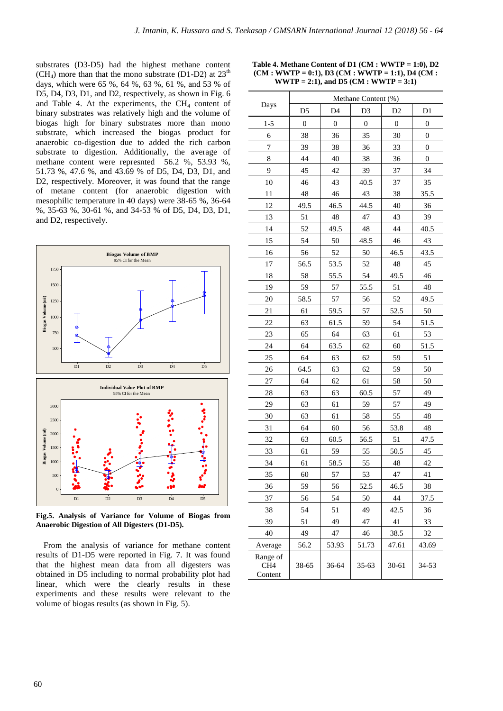substrates (D3-D5) had the highest methane content  $(CH<sub>4</sub>)$  more than that the mono substrate (D1-D2) at  $23<sup>th</sup>$ days, which were 65 %, 64 %, 63 %, 61 %, and 53 % of D5, D4, D3, D1, and D2, respectively, as shown in Fig. 6 and Table 4. At the experiments, the  $CH<sub>4</sub>$  content of binary substrates was relatively high and the volume of biogas high for binary substrates more than mono substrate, which increased the biogas product for anaerobic co-digestion due to added the rich carbon substrate to digestion. Additionally, the average of methane content were represnted 56.2 %, 53.93 %, 51.73 %, 47.6 %, and 43.69 % of D5, D4, D3, D1, and D2, respectively. Moreover, it was found that the range of metane content (for anaerobic digestion with mesophilic temperature in 40 days) were 38-65 %, 36-64 %, 35-63 %, 30-61 %, and 34-53 % of D5, D4, D3, D1, and D2, respectively.



**Fig.5. Analysis of Variance for Volume of Biogas from Anaerobic Digestion of All Digesters (D1-D5).**

From the analysis of variance for methane content results of D1-D5 were reported in Fig. 7. It was found that the highest mean data from all digesters was obtained in D5 including to normal probability plot had linear, which were the clearly results in these experiments and these results were relevant to the volume of biogas results (as shown in Fig. 5).

| Days                                   | Methane Content (%) |                  |                  |                  |                |
|----------------------------------------|---------------------|------------------|------------------|------------------|----------------|
|                                        | D5                  | D <sub>4</sub>   | D <sub>3</sub>   | D <sub>2</sub>   | D <sub>1</sub> |
| $1 - 5$                                | $\boldsymbol{0}$    | $\boldsymbol{0}$ | $\boldsymbol{0}$ | $\boldsymbol{0}$ | 0              |
| 6                                      | 38                  | 36               | 35               | 30               | 0              |
| 7                                      | 39                  | 38               | 36               | 33               | $\overline{0}$ |
| 8                                      | 44                  | 40               | 38               | 36               | 0              |
| 9                                      | 45                  | 42               | 39               | 37               | 34             |
| 10                                     | 46                  | 43               | 40.5             | 37               | 35             |
| 11                                     | 48                  | 46               | 43               | 38               | 35.5           |
| 12                                     | 49.5                | 46.5             | 44.5             | 40               | 36             |
| 13                                     | 51                  | 48               | 47               | 43               | 39             |
| 14                                     | 52                  | 49.5             | 48               | 44               | 40.5           |
| 15                                     | 54                  | 50               | 48.5             | 46               | 43             |
| 16                                     | 56                  | 52               | 50               | 46.5             | 43.5           |
| 17                                     | 56.5                | 53.5             | 52               | 48               | 45             |
| 18                                     | 58                  | 55.5             | 54               | 49.5             | 46             |
| 19                                     | 59                  | 57               | 55.5             | 51               | 48             |
| 20                                     | 58.5                | 57               | 56               | 52               | 49.5           |
| 21                                     | 61                  | 59.5             | 57               | 52.5             | 50             |
| 22                                     | 63                  | 61.5             | 59               | 54               | 51.5           |
| 23                                     | 65                  | 64               | 63               | 61               | 53             |
| 24                                     | 64                  | 63.5             | 62               | 60               | 51.5           |
| 25                                     | 64                  | 63               | 62               | 59               | 51             |
| 26                                     | 64.5                | 63               | 62               | 59               | 50             |
| 27                                     | 64                  | 62               | 61               | 58               | 50             |
| 28                                     | 63                  | 63               | 60.5             | 57               | 49             |
| 29                                     | 63                  | 61               | 59               | 57               | 49             |
| 30                                     | 63                  | 61               | 58               | 55               | 48             |
| 31                                     | 64                  | 60               | 56               | 53.8             | 48             |
| 32                                     | 63                  | 60.5             | 56.5             | 51               | 47.5           |
| 33                                     | 61                  | 59               | 55               | 50.5             | 45             |
| 34                                     | 61                  | 58.5             | 55               | 48               | 42             |
| 35                                     | 60                  | 57               | 53               | 47               | 41             |
| 36                                     | 59                  | 56               | 52.5             | 46.5             | 38             |
| 37                                     | 56                  | 54               | 50               | 44               | 37.5           |
| 38                                     | 54                  | 51               | 49               | 42.5             | 36             |
| 39                                     | 51                  | 49               | 47               | 41               | 33             |
| 40                                     | 49                  | 47               | 46               | 38.5             | 32             |
| Average                                | 56.2                | 53.93            | 51.73            | 47.61            | 43.69          |
| Range of<br>CH <sub>4</sub><br>Content | 38-65               | 36-64            | $35 - 63$        | $30 - 61$        | 34-53          |

**Table 4. Methane Content of D1 (CM : WWTP = 1:0), D2 (CM : WWTP = 0:1), D3 (CM : WWTP = 1:1), D4 (CM : WWTP = 2:1), and D5 (CM : WWTP = 3:1)**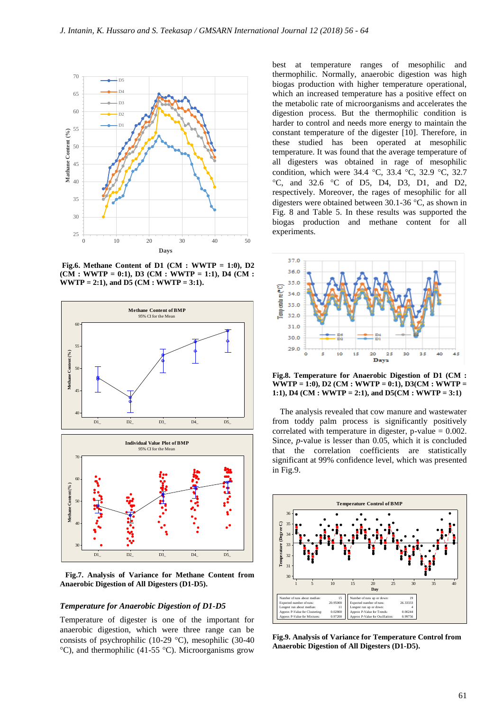

**Fig.6. Methane Content of D1 (CM : WWTP = 1:0), D2 (CM : WWTP = 0:1), D3 (CM : WWTP = 1:1), D4 (CM : WWTP = 2:1), and D5 (CM : WWTP = 3:1).**



**Fig.7. Analysis of Variance for Methane Content from Anaerobic Digestion of All Digesters (D1-D5).**

#### *Temperature for Anaerobic Digestion of D1-D5*

Temperature of digester is one of the important for anaerobic digestion, which were three range can be consists of psychrophilic (10-29  $^{\circ}$ C), mesophilic (30-40 °C), and thermophilic (41-55 °C). Microorganisms grow

best at temperature ranges of mesophilic and thermophilic. Normally, anaerobic digestion was high biogas production with higher temperature operational, which an increased temperature has a positive effect on the metabolic rate of microorganisms and accelerates the digestion process. But the thermophilic condition is harder to control and needs more energy to maintain the constant temperature of the digester [10]. Therefore, in these studied has been operated at mesophilic temperature. It was found that the average temperature of all digesters was obtained in rage of mesophilic condition, which were  $34.4 \text{ °C}$ ,  $33.4 \text{ °C}$ ,  $32.9 \text{ °C}$ ,  $32.7$  $\degree$ C, and 32.6  $\degree$ C of D5, D4, D3, D1, and D2, respectively. Moreover, the rages of mesophilic for all digesters were obtained between  $30.1\text{-}36$  °C, as shown in Fig. 8 and Table 5. In these results was supported the biogas production and methane content for all experiments.



**Fig.8. Temperature for Anaerobic Digestion of D1 (CM : WWTP = 1:0), D2 (CM : WWTP = 0:1), D3(CM : WWTP = 1:1), D4 (CM : WWTP = 2:1), and D5(CM : WWTP = 3:1)**

The analysis revealed that cow manure and wastewater from toddy palm process is significantly positively correlated with temperature in digester, p-value  $= 0.002$ . Since, *p*-value is lesser than 0.05, which it is concluded that the correlation coefficients are statistically significant at 99% confidence level, which was presented in Fig.9.



**Fig.9. Analysis of Variance for Temperature Control from Anaerobic Digestion of All Digesters (D1-D5).**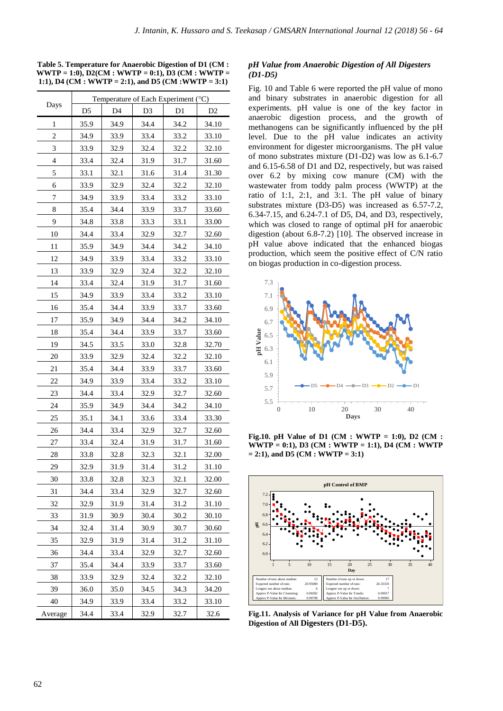**Table 5. Temperature for Anaerobic Digestion of D1 (CM : WWTP = 1:0), D2(CM : WWTP = 0:1), D3 (CM : WWTP = 1:1), D4 (CM : WWTP = 2:1), and D5 (CM :WWTP = 3:1)**

|                          | Temperature of Each Experiment (°C) |      |                |                |                |
|--------------------------|-------------------------------------|------|----------------|----------------|----------------|
| Days                     | D <sub>5</sub>                      | D4   | D <sub>3</sub> | D <sub>1</sub> | D <sub>2</sub> |
| 1                        | 35.9                                | 34.9 | 34.4           | 34.2           | 34.10          |
| $\overline{c}$           | 34.9                                | 33.9 | 33.4           | 33.2           | 33.10          |
| 3                        | 33.9                                | 32.9 | 32.4           | 32.2           | 32.10          |
| $\overline{\mathcal{L}}$ | 33.4                                | 32.4 | 31.9           | 31.7           | 31.60          |
| 5                        | 33.1                                | 32.1 | 31.6           | 31.4           | 31.30          |
| 6                        | 33.9                                | 32.9 | 32.4           | 32.2           | 32.10          |
| 7                        | 34.9                                | 33.9 | 33.4           | 33.2           | 33.10          |
| 8                        | 35.4                                | 34.4 | 33.9           | 33.7           | 33.60          |
| 9                        | 34.8                                | 33.8 | 33.3           | 33.1           | 33.00          |
| 10                       | 34.4                                | 33.4 | 32.9           | 32.7           | 32.60          |
| 11                       | 35.9                                | 34.9 | 34.4           | 34.2           | 34.10          |
| 12                       | 34.9                                | 33.9 | 33.4           | 33.2           | 33.10          |
| 13                       | 33.9                                | 32.9 | 32.4           | 32.2           | 32.10          |
| 14                       | 33.4                                | 32.4 | 31.9           | 31.7           | 31.60          |
| 15                       | 34.9                                | 33.9 | 33.4           | 33.2           | 33.10          |
| 16                       | 35.4                                | 34.4 | 33.9           | 33.7           | 33.60          |
| 17                       | 35.9                                | 34.9 | 34.4           | 34.2           | 34.10          |
| 18                       | 35.4                                | 34.4 | 33.9           | 33.7           | 33.60          |
| 19                       | 34.5                                | 33.5 | 33.0           | 32.8           | 32.70          |
| 20                       | 33.9                                | 32.9 | 32.4           | 32.2           | 32.10          |
| 21                       | 35.4                                | 34.4 | 33.9           | 33.7           | 33.60          |
| 22                       | 34.9                                | 33.9 | 33.4           | 33.2           | 33.10          |
| 23                       | 34.4                                | 33.4 | 32.9           | 32.7           | 32.60          |
| 24                       | 35.9                                | 34.9 | 34.4           | 34.2           | 34.10          |
| 25                       | 35.1                                | 34.1 | 33.6           | 33.4           | 33.30          |
| 26                       | 34.4                                | 33.4 | 32.9           | 32.7           | 32.60          |
| 27                       | 33.4                                | 32.4 | 31.9           | 31.7           | 31.60          |
| 28                       | 33.8                                | 32.8 | 32.3           | 32.1           | 32.00          |
| 29                       | 32.9                                | 31.9 | 31.4           | 31.2           | 31.10          |
| 30                       | 33.8                                | 32.8 | 32.3           | 32.1           | 32.00          |
| 31                       | 34.4                                | 33.4 | 32.9           | 32.7           | 32.60          |
| 32                       | 32.9                                | 31.9 | 31.4           | 31.2           | 31.10          |
| 33                       | 31.9                                | 30.9 | 30.4           | 30.2           | 30.10          |
| 34                       | 32.4                                | 31.4 | 30.9           | 30.7           | 30.60          |
| 35                       | 32.9                                | 31.9 | 31.4           | 31.2           | 31.10          |
| 36                       | 34.4                                | 33.4 | 32.9           | 32.7           | 32.60          |
| 37                       | 35.4                                | 34.4 | 33.9           | 33.7           | 33.60          |
| 38                       | 33.9                                | 32.9 | 32.4           | 32.2           | 32.10          |
| 39                       | 36.0                                | 35.0 | 34.5           | 34.3           | 34.20          |
| 40                       | 34.9                                | 33.9 | 33.4           | 33.2           | 33.10          |
| Average                  | 34.4                                | 33.4 | 32.9           | 32.7           | 32.6           |

## *pH Value from Anaerobic Digestion of All Digesters (D1-D5)*

Fig. 10 and Table 6 were reported the pH value of mono and binary substrates in anaerobic digestion for all experiments. pH value is one of the key factor in anaerobic digestion process, and the growth of methanogens can be significantly influenced by the pH level. Due to the pH value indicates an activity environment for digester microorganisms. The pH value of mono substrates mixture (D1-D2) was low as 6.1-6.7 and 6.15-6.58 of D1 and D2, respectively, but was raised over 6.2 by mixing cow manure (CM) with the wastewater from toddy palm process (WWTP) at the ratio of 1:1, 2:1, and 3:1. The pH value of binary substrates mixture (D3-D5) was increased as 6.57-7.2, 6.34-7.15, and 6.24-7.1 of D5, D4, and D3, respectively, which was closed to range of optimal pH for anaerobic digestion (about 6.8-7.2) [10]. The observed increase in pH value above indicated that the enhanced biogas production, which seem the positive effect of C/N ratio on biogas production in co-digestion process.



**Fig.10. pH Value of D1 (CM : WWTP = 1:0), D2 (CM : WWTP = 0:1), D3 (CM : WWTP = 1:1), D4 (CM : WWTP = 2:1), and D5 (CM : WWTP = 3:1)**



**Fig.11. Analysis of Variance for pH Value from Anaerobic Digestion of All Digesters (D1-D5).**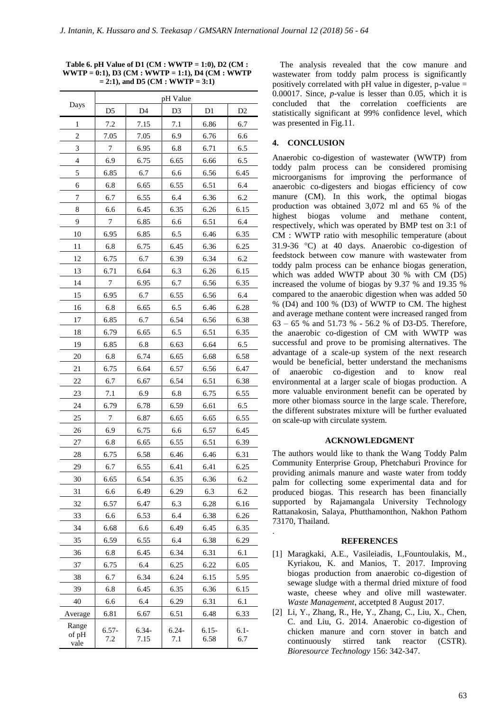**Table 6. pH Value of D1 (CM : WWTP = 1:0), D2 (CM : WWTP = 0:1), D3 (CM : WWTP = 1:1), D4 (CM : WWTP = 2:1), and D5 (CM : WWTP = 3:1)**

| Days                   | pH Value       |                 |                 |                 |                |  |
|------------------------|----------------|-----------------|-----------------|-----------------|----------------|--|
|                        | D <sub>5</sub> | D <sub>4</sub>  | D3              | $\mathbf{D}1$   | D <sub>2</sub> |  |
| 1                      | 7.2            | 7.15            | 7.1             | 6.86            | 6.7            |  |
| 2                      | 7.05           | 7.05            | 6.9             | 6.76            | 6.6            |  |
| 3                      | 7              | 6.95            | 6.8             | 6.71            | 6.5            |  |
| $\overline{4}$         | 6.9            | 6.75            | 6.65            | 6.66            | 6.5            |  |
| 5                      | 6.85           | 6.7             | 6.6             | 6.56            | 6.45           |  |
| 6                      | 6.8            | 6.65            | 6.55            | 6.51            | 6.4            |  |
| 7                      | 6.7            | 6.55            | 6.4             | 6.36            | 6.2            |  |
| 8                      | 6.6            | 6.45            | 6.35            | 6.26            | 6.15           |  |
| 9                      | 7              | 6.85            | 6.6             | 6.51            | 6.4            |  |
| 10                     | 6.95           | 6.85            | 6.5             | 6.46            | 6.35           |  |
| 11                     | 6.8            | 6.75            | 6.45            | 6.36            | 6.25           |  |
| 12                     | 6.75           | 6.7             | 6.39            | 6.34            | 6.2            |  |
| 13                     | 6.71           | 6.64            | 6.3             | 6.26            | 6.15           |  |
| 14                     | 7              | 6.95            | 6.7             | 6.56            | 6.35           |  |
| 15                     | 6.95           | 6.7             | 6.55            | 6.56            | 6.4            |  |
| 16                     | 6.8            | 6.65            | 6.5             | 6.46            | 6.28           |  |
| 17                     | 6.85           | 6.7             | 6.54            | 6.56            | 6.38           |  |
| 18                     | 6.79           | 6.65            | 6.5             | 6.51            | 6.35           |  |
| 19                     | 6.85           | 6.8             | 6.63            | 6.64            | 6.5            |  |
| 20                     | 6.8            | 6.74            | 6.65            | 6.68            | 6.58           |  |
| 21                     | 6.75           | 6.64            | 6.57            | 6.56            | 6.47           |  |
| 22                     | 6.7            | 6.67            | 6.54            | 6.51            | 6.38           |  |
| 23                     | 7.1            | 6.9             | 6.8             | 6.75            | 6.55           |  |
| 24                     | 6.79           | 6.78            | 6.59            | 6.61            | 6.5            |  |
| 25                     | 7              | 6.87            | 6.65            | 6.65            | 6.55           |  |
| 26                     | 6.9            | 6.75            | 6.6             | 6.57            | 6.45           |  |
| 27                     | 6.8            | 6.65            | 6.55            | 6.51            | 6.39           |  |
| 28                     | 6.75           | 6.58            | 6.46            | 6.46            | 6.31           |  |
| 29                     | 6.7            | 6.55            | 6.41            | 6.41            | 6.25           |  |
| 30                     | 6.65           | 6.54            | 6.35            | 6.36            | 6.2            |  |
| 31                     | 6.6            | 6.49            | 6.29            | 6.3             | 6.2            |  |
| 32                     | 6.57           | 6.47            | 6.3             | 6.28            | 6.16           |  |
| 33                     | 6.6            | 6.53            | 6.4             | 6.38            | 6.26           |  |
| 34                     | 6.68           | 6.6             | 6.49            | 6.45            | 6.35           |  |
| 35                     | 6.59           | 6.55            | 6.4             | 6.38            | 6.29           |  |
| 36                     | 6.8            | 6.45            | 6.34            | 6.31            | 6.1            |  |
| 37                     | 6.75           | 6.4             | 6.25            | 6.22            | 6.05           |  |
| 38                     | 6.7            | 6.34            | 6.24            | 6.15            | 5.95           |  |
| 39                     | 6.8            | 6.45            | 6.35            | 6.36            | 6.15           |  |
| 40                     | 6.6            | 6.4             | 6.29            | 6.31            | 6.1            |  |
| Average                | 6.81           | 6.67            | 6.51            | 6.48            | 6.33           |  |
| Range<br>of pH<br>vale | $6.57-$<br>7.2 | $6.34-$<br>7.15 | $6.24 -$<br>7.1 | $6.15-$<br>6.58 | $6.1 -$<br>6.7 |  |

The analysis revealed that the cow manure and wastewater from toddy palm process is significantly positively correlated with pH value in digester, p-value = 0.00017. Since, *p*-value is lesser than 0.05, which it is concluded that the correlation coefficients are statistically significant at 99% confidence level, which was presented in Fig.11.

# **4. CONCLUSION**

Anaerobic co-digestion of wastewater (WWTP) from toddy palm process can be considered promising microorganisms for improving the performance of anaerobic co-digesters and biogas efficiency of cow manure (CM). In this work, the optimal biogas production was obtained 3,072 ml and 65 % of the highest biogas volume and methane content, respectively, which was operated by BMP test on 3:1 of CM : WWTP ratio with mesophilic temperature (about 31.9-36  $\degree$ C) at 40 days. Anaerobic co-digestion of feedstock between cow manure with wastewater from toddy palm process can be enhance biogas generation, which was added WWTP about 30 % with CM (D5) increased the volume of biogas by 9.37 % and 19.35 % compared to the anaerobic digestion when was added 50 % (D4) and 100 % (D3) of WWTP to CM. The highest and average methane content were increased ranged from 63 – 65 % and 51.73 % - 56.2 % of D3-D5. Therefore, the anaerobic co-digestion of CM with WWTP was successful and prove to be promising alternatives. The advantage of a scale-up system of the next research would be beneficial, better understand the mechanisms of anaerobic co-digestion and to know real environmental at a larger scale of biogas production. A more valuable environment benefit can be operated by more other biomass source in the large scale. Therefore, the different substrates mixture will be further evaluated on scale-up with circulate system.

#### **ACKNOWLEDGMENT**

The authors would like to thank the Wang Toddy Palm Community Enterprise Group, Phetchaburi Province for providing animals manure and waste water from toddy palm for collecting some experimental data and for produced biogas. This research has been financially supported by Rajamangala University Technology Rattanakosin, Salaya, Phutthamonthon, Nakhon Pathom 73170, Thailand.

#### **REFERENCES**

.

- [1] Maragkaki, A.E., Vasileiadis, I.,Fountoulakis, M., Kyriakou, K. and Manios, T. 2017. Improving biogas production from anaerobic co-digestion of sewage sludge with a thermal dried mixture of food waste, cheese whey and olive mill wastewater. *Waste Management*, accetpted 8 August 2017.
- [2] Li, Y., Zhang, R., He, Y., Zhang, C., Liu, X., Chen, C. and Liu, G. 2014. Anaerobic co-digestion of chicken manure and corn stover in batch and continuously stirred tank reactor (CSTR). *Bioresource Technology* 156: 342-347.